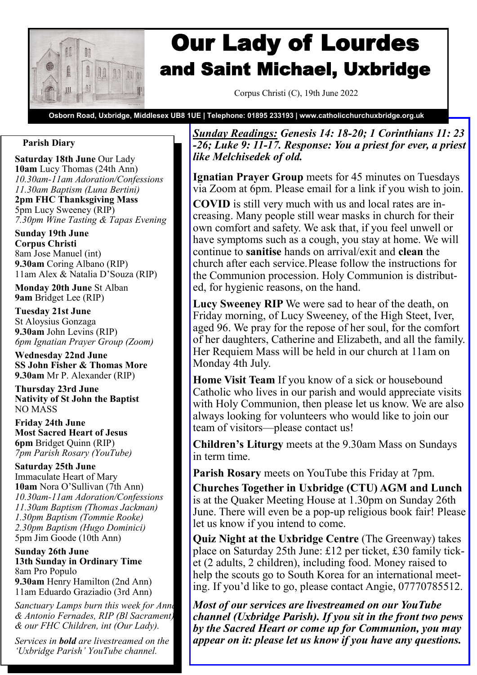

# Our Lady of Lourdes and Saint Michael, Uxbridge

Corpus Christi (C), 19th June 2022

**Osborn Road, Uxbridge, Middlesex UB8 1UE | Telephone: 01895 233193 | www.catholicchurchuxbridge.org.uk**

## **Parish Diary**

**Saturday 18th June** Our Lady **10am** Lucy Thomas (24th Ann) *10.30am-11am Adoration/Confessions 11.30am Baptism (Luna Bertini)* **2pm FHC Thanksgiving Mass** 5pm Lucy Sweeney (RIP) *7.30pm Wine Tasting & Tapas Evening*

**Sunday 19th June Corpus Christi** 8am Jose Manuel (int) **9.30am** Coring Albano (RIP) 11am Alex & Natalia D'Souza (RIP)

**Monday 20th June** St Alban **9am** Bridget Lee (RIP)

**Tuesday 21st June**  St Aloysius Gonzaga **9.30am** John Levins (RIP) *6pm Ignatian Prayer Group (Zoom)*

**Wednesday 22nd June SS John Fisher & Thomas More 9.30am** Mr P. Alexander (RIP)

**Thursday 23rd June Nativity of St John the Baptist** NO MASS

**Friday 24th June Most Sacred Heart of Jesus 6pm** Bridget Quinn (RIP) *7pm Parish Rosary (YouTube)*

**Saturday 25th June**  Immaculate Heart of Mary **10am** Nora O'Sullivan (7th Ann) *10.30am-11am Adoration/Confessions 11.30am Baptism (Thomas Jackman) 1.30pm Baptism (Tommie Rooke) 2.30pm Baptism (Hugo Dominici)*  5pm Jim Goode (10th Ann)

**Sunday 26th June 13th Sunday in Ordinary Time** 8am Pro Populo

**9.30am** Henry Hamilton (2nd Ann) 11am Eduardo Graziadio (3rd Ann)

*Sanctuary Lamps burn this week for Anna & Antonio Fernades, RIP (Bl Sacrament) & our FHC Children, int (Our Lady).*

*Services in bold are livestreamed on the 'Uxbridge Parish' YouTube channel.*

*Sunday Readings: Genesis 14: 18-20; 1 Corinthians 11: 23 -26; Luke 9: 11-17. Response: You a priest for ever, a priest like Melchisedek of old.*

**Ignatian Prayer Group** meets for 45 minutes on Tuesdays via Zoom at 6pm. Please email for a link if you wish to join.

**COVID** is still very much with us and local rates are increasing. Many people still wear masks in church for their own comfort and safety. We ask that, if you feel unwell or have symptoms such as a cough, you stay at home. We will continue to **sanitise** hands on arrival/exit and **clean** the church after each service.Please follow the instructions for the Communion procession. Holy Communion is distributed, for hygienic reasons, on the hand.

**Lucy Sweeney RIP** We were sad to hear of the death, on Friday morning, of Lucy Sweeney, of the High Steet, Iver, aged 96. We pray for the repose of her soul, for the comfort of her daughters, Catherine and Elizabeth, and all the family. Her Requiem Mass will be held in our church at 11am on Monday 4th July.

**Home Visit Team** If you know of a sick or housebound Catholic who lives in our parish and would appreciate visits with Holy Communion, then please let us know. We are also always looking for volunteers who would like to join our team of visitors—please contact us!

**Children's Liturgy** meets at the 9.30am Mass on Sundays in term time.

**Parish Rosary** meets on YouTube this Friday at 7pm.

**Churches Together in Uxbridge (CTU) AGM and Lunch**  is at the Quaker Meeting House at 1.30pm on Sunday 26th June. There will even be a pop-up religious book fair! Please let us know if you intend to come.

**Quiz Night at the Uxbridge Centre** (The Greenway) takes place on Saturday 25th June: £12 per ticket, £30 family ticket (2 adults, 2 children), including food. Money raised to help the scouts go to South Korea for an international meeting. If you'd like to go, please contact Angie, 07770785512.

*Most of our services are livestreamed on our YouTube channel (Uxbridge Parish). If you sit in the front two pews by the Sacred Heart or come up for Communion, you may appear on it: please let us know if you have any questions.*